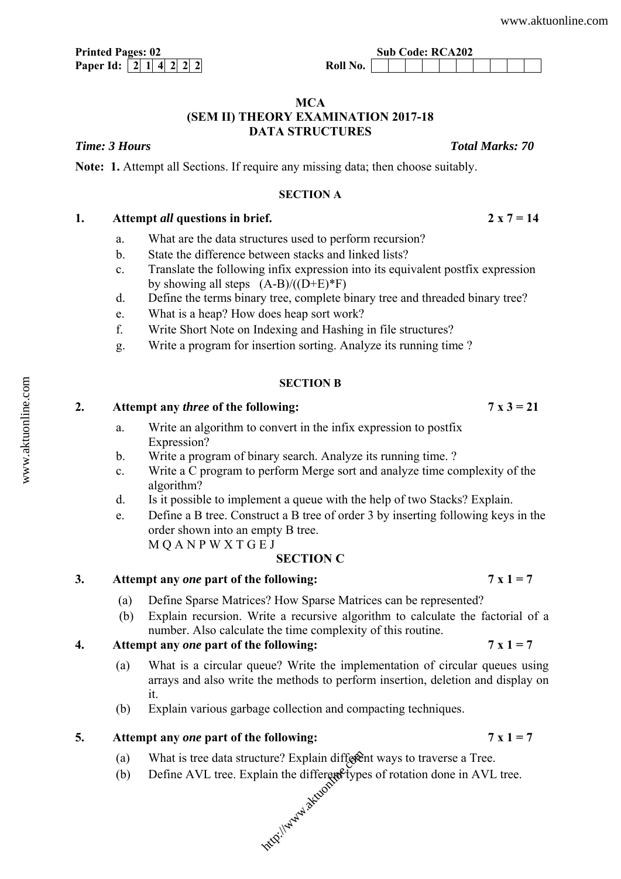**Paper Id:**  $\begin{bmatrix} 2 & 1 & 4 & 2 & 2 & 2 \end{bmatrix}$ 

## **MCA (SEM II) THEORY EXAMINATION 2017-18 DATA STRUCTURES**

*Time: 3 Hours Total Marks: 70* 

**Note: 1.** Attempt all Sections. If require any missing data; then choose suitably.

### **SECTION A**

# **1. Attempt** *all* **questions in brief. 2 x 7 = 14**

- a. What are the data structures used to perform recursion?
- b. State the difference between stacks and linked lists?
- c. Translate the following infix expression into its equivalent postfix expression by showing all steps  $(A-B)/((D+E)^*F)$
- d. Define the terms binary tree, complete binary tree and threaded binary tree?
- e. What is a heap? How does heap sort work?
- f. Write Short Note on Indexing and Hashing in file structures?
- g. Write a program for insertion sorting. Analyze its running time ?

### **SECTION B**

# **2. Attempt any** *three* **of the following: 7 x 3 = 21**

- a. Write an algorithm to convert in the infix expression to postfix Expression?
- b. Write a program of binary search. Analyze its running time. ?
- c. Write a C program to perform Merge sort and analyze time complexity of the algorithm?
- d. Is it possible to implement a queue with the help of two Stacks? Explain.
- e. Define a B tree. Construct a B tree of order 3 by inserting following keys in the order shown into an empty B tree. M Q A N P W X T G E J

### **SECTION C**

## **3. Attempt any** *one* **part of the following: 7 x 1 = 7**

- (a) Define Sparse Matrices? How Sparse Matrices can be represented?
- (b) Explain recursion. Write a recursive algorithm to calculate the factorial of a number. Also calculate the time complexity of this routine.

# **4. Attempt any** *one* **part of the following: 7 x 1 = 7**

- (a) What is a circular queue? Write the implementation of circular queues using arrays and also write the methods to perform insertion, deletion and display on it.
- (b) Explain various garbage collection and compacting techniques.

## **5.** Attempt any *one* part of the following:  $7 \times 1 = 7$

- (a) What is tree data structure? Explain different ways to traverse a Tree. ture? Explain different<br>lain the different type<br>www.interent community
- (b) Define AVL tree. Explain the different types of rotation done in AVL tree.